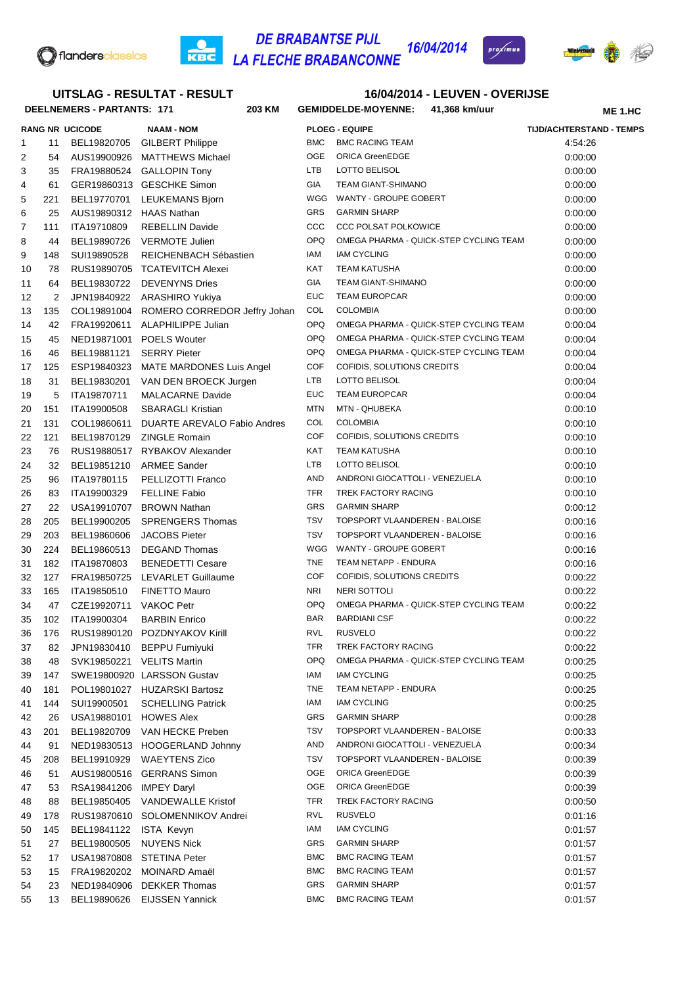

### **DE BRABANTSE PIJL** 16/04/2014 **LA FLECHE BRABANCONNE**



## **DEELNEMERS - PARTANTS: 171 203 16/04/2014 - LEUVEN - OVERIJSE KM GEMIDDELDE-MOYENNE: 41,368 km/uur RANG NR UCICODE NAAM - NOM PLOEG - EQUIPE TIJD/ACHTERSTAND - TEMPS ME 1.HC UITSLAG - RESULTAT - RESULT** 11 BEL19820705 GILBERT Philippe BMC BMC RACING TEAM 4:54:26 2 54 AUS19900926 MATTHEWS Michael OGE ORICA GreenEDGE 0:00:00 0:00:00 35 FRA19880524 GALLOPIN Tony LTB LOTTO BELISOL 0:00:00 4 61 GER19860313 GESCHKE Simon GIA TEAM GIANT-SHIMANO 61 GER19860313 GESCHKE Simon 221 BEL19770701 LEUKEMANS Bjorn WGG WANTY - GROUPE GOBERT 0:00:00 25 AUS19890312 HAAS Nathan GRS GARMIN SHARP 0:00:00 7 111 ITA19710809 REBELLIN Davide CCC CCC CCC POLSAT POLKOWICE 0:00:00 44 BEL19890726 VERMOTE Julien OPQ OMEGA PHARMA - QUICK-STEP CYCLING TEAM 0:00:00 9 148 SUI19890528 REICHENBACH Sébastien IAM IAM CYCLING COO:00 0:00:00 10 78 RUS19890705 TCATEVITCH Alexei KAT TEAM KATUSHA 0:00:00 0:00:00 11 64 BEL19830722 DEVENYNS Dries GIA TEAM GIANT-SHIMANO 600 000:00 2 JPN19840922 ARASHIRO Yukiya EUC TEAM EUROPCAR 0:00:00 135 COL19891004 ROMERO CORREDOR Jeffry Johan COL COLOMBIA 0:00:00 14 42 FRA19920611 ALAPHILIPPE Julian OPQ OMEGA PHARMA - QUICK-STEP CYCLING TEAM 0:00:04 15 45 NED19871001 POELS Wouter **OPQ OMEGA PHARMA - QUICK-STEP CYCLING TEAM** 0:00:04 46 BEL19881121 SERRY Pieter OPQ OMEGA PHARMA - QUICK-STEP CYCLING TEAM 0:00:04 125 ESP19840323 MATE MARDONES Luis Angel COF COFIDIS, SOLUTIONS CREDITS 0:00:04 31 BEL19830201 VAN DEN BROECK Jurgen LTB LOTTO BELISOL 0:00:04 5 ITA19870711 MALACARNE Davide EUC TEAM EUROPCAR 0:00:04 151 ITA19900508 SBARAGLI Kristian MTN MTN - QHUBEKA 0:00:10 131 COL19860611 DUARTE AREVALO Fabio Andres COL COLOMBIA 0:00:10 121 BEL19870129 ZINGLE Romain COF COFIDIS, SOLUTIONS CREDITS 0:00:10 23 76 RUS19880517 RYBAKOV Alexander KAT TEAM KATUSHA 0:00:10 0:00:10 32 BEL19851210 ARMEE Sander LTB LOTTO BELISOL 0:00:10 96 ITA19780115 PELLIZOTTI Franco AND ANDRONI GIOCATTOLI - VENEZUELA 0:00:10 83 ITA19900329 FELLINE Fabio TFR TREK FACTORY RACING 0:00:10 22 USA19910707 BROWN Nathan GRS GARMIN SHARP 0:00:12 205 BEL19900205 SPRENGERS Thomas TSV TOPSPORT VLAANDEREN - BALOISE 0:00:16 203 BEL19860606 JACOBS Pieter TSV TOPSPORT VLAANDEREN - BALOISE 0:00:16 30 224 BEL19860513 DEGAND Thomas WGG WANTY - GROUPE GOBERT 0:00:16 182 ITA19870803 BENEDETTI Cesare TNE TEAM NETAPP - ENDURA 0:00:16 127 FRA19850725 LEVARLET Guillaume COF COFIDIS, SOLUTIONS CREDITS 0:00:22 165 ITA19850510 FINETTO Mauro NRI NERI SOTTOLI 0:00:22 34 47 CZE19920711 VAKOC Petr **OPQ OMEGA PHARMA - QUICK-STEP CYCLING TEAM** 0:00:22 102 ITA19900304 BARBIN Enrico BAR BARDIANI CSF 0:00:22 176 RUS19890120 POZDNYAKOV Kirill RVL RUSVELO 0:00:22 82 JPN19830410 BEPPU Fumiyuki TFR TREK FACTORY RACING 0:00:22 48 SVK19850221 VELITS Martin OPQ OMEGA PHARMA - QUICK-STEP CYCLING TEAM 0:00:25 147 SWE19800920 LARSSON Gustav IAM IAM CYCLING 0:00:25 181 POL19801027 HUZARSKI Bartosz TNE TEAM NETAPP - ENDURA 0:00:25 144 SUI19900501 SCHELLING Patrick IAM IAM CYCLING 0:00:25 42 26 USA19880101 HOWES Alex GRS GARMIN SHARP 0:00:28 201 BEL19820709 VAN HECKE Preben TSV TOPSPORT VLAANDEREN - BALOISE 0:00:33 91 NED19830513 HOOGERLAND Johnny AND ANDRONI GIOCATTOLI - VENEZUELA 0:00:34 208 BEL19910929 WAEYTENS Zico TSV TOPSPORT VLAANDEREN - BALOISE 0:00:39 51 AUS19800516 GERRANS Simon OGE ORICA GreenEDGE 0:00:39 47 53 RSA19841206 IMPEY Daryl COME OGE ORICA GreenEDGE 20:00:39 88 BEL19850405 VANDEWALLE Kristof TFR TREK FACTORY RACING 0:00:50 178 RUS19870610 SOLOMENNIKOV Andrei RVL RUSVELO 0:01:16 145 BEL19841122 ISTA Kevyn IAM IAM CYCLING 0:01:57 51 27 BEL19800505 NUYENS Nick GRS GARMIN SHARP 6:01:57 17 USA19870808 STETINA Peter BMC BMC RACING TEAM 0:01:57 15 FRA19820202 MOINARD Amaël BMC BMC RACING TEAM 0:01:57

54 23 NED19840906 DEKKER Thomas GRS GARMIN SHARP CONTEXT 0:01:57 13 BEL19890626 EIJSSEN Yannick BMC BMC RACING TEAM 0:01:57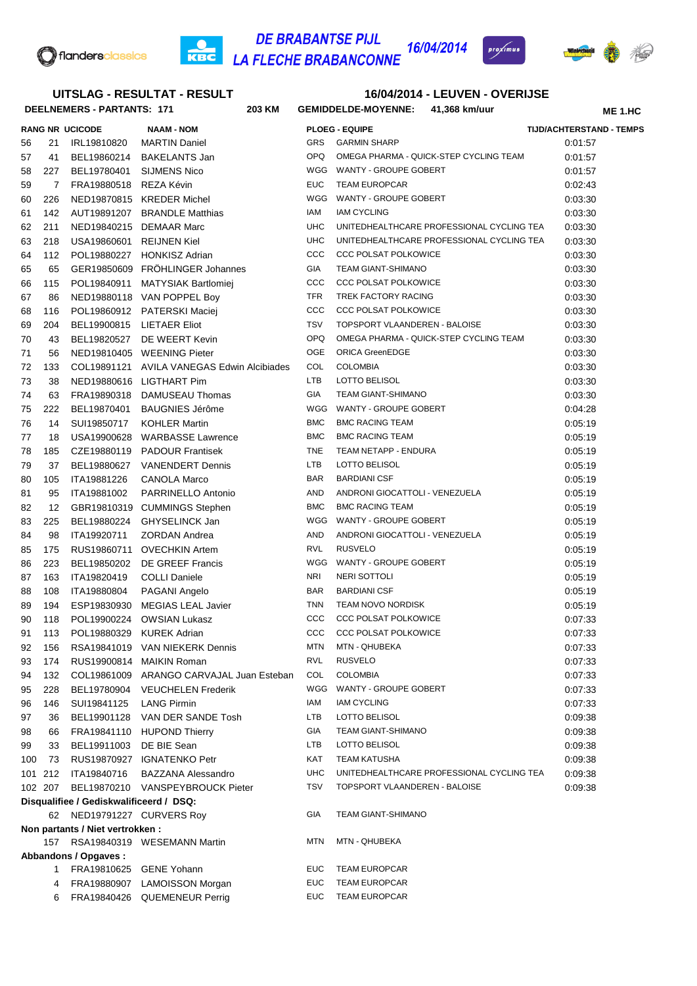

## **DE BRABANTSE PIJL<br>LA FLECHE BRABANCONNE 16/04/2014**  $rac{1}{\text{KBC}}$



# 增

| UITSLAG - RESULTAT - RESULT                                          |         |                                   |                                                        | <b>16/04/2014 - LEUVEN - OVERIJSE</b> |                                             |                |                                 |
|----------------------------------------------------------------------|---------|-----------------------------------|--------------------------------------------------------|---------------------------------------|---------------------------------------------|----------------|---------------------------------|
|                                                                      |         | <b>DEELNEMERS - PARTANTS: 171</b> | 203 KM                                                 |                                       | GEMIDDELDE-MOYENNE: 41,368 km/uur           | <b>ME 1.HC</b> |                                 |
|                                                                      |         | <b>RANG NR UCICODE</b>            | <b>NAAM - NOM</b>                                      |                                       | <b>PLOEG - EQUIPE</b>                       |                | <b>TIJD/ACHTERSTAND - TEMPS</b> |
| 56                                                                   | 21      | IRL19810820                       | <b>MARTIN Daniel</b>                                   | GRS                                   | <b>GARMIN SHARP</b>                         |                | 0:01:57                         |
| 57                                                                   | 41      | BEL19860214                       | <b>BAKELANTS Jan</b>                                   | <b>OPQ</b>                            | OMEGA PHARMA - QUICK-STEP CYCLING TEAM      |                | 0:01:57                         |
| 58                                                                   | 227     | BEL19780401                       | <b>SIJMENS Nico</b>                                    | WGG                                   | WANTY - GROUPE GOBERT                       |                | 0:01:57                         |
| 59                                                                   | 7       | FRA19880518 REZA Kévin            |                                                        | <b>EUC</b>                            | <b>TEAM EUROPCAR</b>                        |                | 0:02:43                         |
| 60                                                                   | 226     |                                   | NED19870815 KREDER Michel                              | WGG                                   | WANTY - GROUPE GOBERT                       |                | 0:03:30                         |
| 61                                                                   | 142     | AUT19891207                       | <b>BRANDLE Matthias</b>                                | IAM                                   | <b>IAM CYCLING</b>                          |                | 0:03:30                         |
| 62                                                                   | 211     |                                   | NED19840215 DEMAAR Marc                                | UHC                                   | UNITEDHEALTHCARE PROFESSIONAL CYCLING TEA   |                | 0:03:30                         |
| 63                                                                   | 218     | USA19860601                       | <b>REIJNEN Kiel</b>                                    | UHC                                   | UNITEDHEALTHCARE PROFESSIONAL CYCLING TEA   |                | 0:03:30                         |
| 64                                                                   | 112     | POL19880227                       | <b>HONKISZ Adrian</b>                                  | ccc                                   | <b>CCC POLSAT POLKOWICE</b>                 |                | 0:03:30                         |
| 65                                                                   | 65      |                                   | GER19850609 FRÖHLINGER Johannes                        | <b>GIA</b>                            | <b>TEAM GIANT-SHIMANO</b>                   |                | 0:03:30                         |
| 66                                                                   | 115     | POL19840911                       | <b>MATYSIAK Bartlomiej</b>                             | ccc                                   | <b>CCC POLSAT POLKOWICE</b>                 |                | 0:03:30                         |
| 67                                                                   | 86      |                                   | NED19880118 VAN POPPEL Boy                             | TFR                                   | TREK FACTORY RACING                         |                | 0:03:30                         |
| 68                                                                   | 116     |                                   | POL19860912 PATERSKI Maciej                            | CCC                                   | <b>CCC POLSAT POLKOWICE</b>                 |                | 0:03:30                         |
| 69                                                                   | 204     | BEL19900815                       | LIETAER Eliot                                          | <b>TSV</b>                            | TOPSPORT VLAANDEREN - BALOISE               |                | 0:03:30                         |
| 70                                                                   | 43      | BEL19820527                       | DE WEERT Kevin                                         | <b>OPQ</b>                            | OMEGA PHARMA - QUICK-STEP CYCLING TEAM      |                | 0:03:30                         |
| 71                                                                   | 56      |                                   | NED19810405 WEENING Pieter                             | <b>OGE</b>                            | <b>ORICA GreenEDGE</b>                      |                | 0:03:30                         |
| 72                                                                   | 133     |                                   | COL19891121 AVILA VANEGAS Edwin Alcibiades             | COL                                   | <b>COLOMBIA</b>                             |                | 0:03:30                         |
| 73                                                                   | 38      |                                   | NED19880616 LIGTHART Pim                               | <b>LTB</b>                            | LOTTO BELISOL                               |                | 0:03:30                         |
| 74                                                                   | 63      | FRA19890318                       | DAMUSEAU Thomas                                        | <b>GIA</b>                            | TEAM GIANT-SHIMANO                          |                | 0:03:30                         |
| 75                                                                   | 222     | BEL19870401                       | <b>BAUGNIES Jérôme</b>                                 | WGG                                   | WANTY - GROUPE GOBERT                       |                | 0:04:28                         |
| 76                                                                   | 14      | SUI19850717                       | <b>KOHLER Martin</b>                                   | <b>BMC</b>                            | <b>BMC RACING TEAM</b>                      |                | 0:05:19                         |
| 77                                                                   | 18      | USA19900628                       | <b>WARBASSE Lawrence</b>                               | <b>BMC</b>                            | <b>BMC RACING TEAM</b>                      |                | 0:05:19                         |
| 78                                                                   | 185     |                                   | CZE19880119 PADOUR Frantisek                           | <b>TNE</b>                            | TEAM NETAPP - ENDURA                        |                | 0:05:19                         |
| 79                                                                   | 37      | BEL19880627                       | <b>VANENDERT Dennis</b>                                | LTB                                   | LOTTO BELISOL                               |                | 0:05:19                         |
| 80                                                                   | 105     | ITA19881226                       | <b>CANOLA Marco</b>                                    | <b>BAR</b>                            | <b>BARDIANI CSF</b>                         |                | 0:05:19                         |
| 81                                                                   | 95      | ITA19881002                       | PARRINELLO Antonio                                     | AND                                   | ANDRONI GIOCATTOLI - VENEZUELA              |                | 0:05:19                         |
| 82                                                                   | 12      |                                   | GBR19810319 CUMMINGS Stephen                           | <b>BMC</b>                            | <b>BMC RACING TEAM</b>                      |                | 0:05:19                         |
| 83                                                                   | 225     | BEL19880224                       | GHYSELINCK Jan                                         | WGG                                   | WANTY - GROUPE GOBERT                       |                | 0:05:19                         |
| 84                                                                   | 98      | ITA19920711                       | ZORDAN Andrea                                          | AND                                   | ANDRONI GIOCATTOLI - VENEZUELA              |                | 0:05:19                         |
| 85                                                                   | 175     |                                   | RUS19860711 OVECHKIN Artem                             | RVL                                   | <b>RUSVELO</b>                              |                | 0:05:19                         |
| 86                                                                   | 223     | BEL19850202                       | DE GREEF Francis                                       | WGG                                   | WANTY - GROUPE GOBERT                       |                | 0:05:19                         |
| 87                                                                   | 163     | ITA19820419                       | <b>COLLI Daniele</b>                                   | NRI                                   | NERI SOTTOLI                                |                | 0:05:19                         |
| 88                                                                   | 108     | ITA19880804                       | PAGANI Angelo                                          | <b>BAR</b>                            | <b>BARDIANI CSF</b>                         |                | 0:05:19                         |
| 89                                                                   | 194     |                                   | ESP19830930 MEGIAS LEAL Javier                         | TNN                                   | <b>TEAM NOVO NORDISK</b>                    |                | 0:05:19                         |
| 90                                                                   | 118     |                                   | POL19900224 OWSIAN Lukasz                              | $_{\rm ccc}$                          | <b>CCC POLSAT POLKOWICE</b>                 |                | 0:07:33                         |
| 91                                                                   | 113     |                                   | POL19880329 KUREK Adrian                               | $_{\rm ccc}$                          | <b>CCC POLSAT POLKOWICE</b>                 |                | 0:07:33                         |
| 92                                                                   | 156     |                                   | RSA19841019 VAN NIEKERK Dennis                         | MTN                                   | <b>MTN - QHUBEKA</b>                        |                | 0:07:33                         |
| 93                                                                   | 174     |                                   | RUS19900814 MAIKIN Roman                               | RVL                                   | <b>RUSVELO</b>                              |                | 0:07:33                         |
| 94                                                                   | 132     |                                   | COL19861009 ARANGO CARVAJAL Juan Esteban               | COL<br>WGG                            | <b>COLOMBIA</b>                             |                | 0:07:33                         |
| 95                                                                   | 228     | BEL19780904                       | <b>VEUCHELEN Frederik</b>                              | IAM                                   | WANTY - GROUPE GOBERT<br><b>IAM CYCLING</b> |                | 0:07:33                         |
| 96                                                                   | 146     | SUI19841125                       | <b>LANG Pirmin</b>                                     |                                       |                                             |                | 0:07:33                         |
| 97                                                                   | 36      |                                   | BEL19901128 VAN DER SANDE Tosh                         | <b>LTB</b><br>GIA                     | LOTTO BELISOL<br><b>TEAM GIANT-SHIMANO</b>  |                | 0:09:38                         |
| 98                                                                   | 66      |                                   | FRA19841110 HUPOND Thierry                             | LTB                                   | LOTTO BELISOL                               |                | 0:09:38                         |
| 99                                                                   | 33      | BEL19911003                       | DE BIE Sean                                            | KAT                                   | <b>TEAM KATUSHA</b>                         |                | 0:09:38                         |
| 100                                                                  | 73      |                                   | RUS19870927 IGNATENKO Petr                             | <b>UHC</b>                            | UNITEDHEALTHCARE PROFESSIONAL CYCLING TEA   |                | 0:09:38                         |
|                                                                      | 101 212 | ITA19840716                       | BAZZANA Alessandro<br>BEL19870210 VANSPEYBROUCK Pieter | <b>TSV</b>                            | TOPSPORT VLAANDEREN - BALOISE               |                | 0:09:38                         |
|                                                                      | 102 207 |                                   |                                                        |                                       |                                             |                | 0:09:38                         |
| Disqualifiee / Gediskwalificeerd / DSQ:                              |         |                                   |                                                        |                                       | <b>TEAM GIANT-SHIMANO</b>                   |                |                                 |
| GIA<br>62 NED19791227 CURVERS Roy<br>Non partants / Niet vertrokken: |         |                                   |                                                        |                                       |                                             |                |                                 |
|                                                                      | 157     |                                   | RSA19840319 WESEMANN Martin                            | <b>MTN</b>                            | <b>MTN - QHUBEKA</b>                        |                |                                 |
|                                                                      |         | Abbandons / Opgaves:              |                                                        |                                       |                                             |                |                                 |
|                                                                      | 1       |                                   | FRA19810625 GENE Yohann                                | <b>EUC</b>                            | <b>TEAM EUROPCAR</b>                        |                |                                 |
|                                                                      | 4       |                                   | FRA19880907 LAMOISSON Morgan                           | EUC                                   | <b>TEAM EUROPCAR</b>                        |                |                                 |
|                                                                      | 6       |                                   | FRA19840426 QUEMENEUR Perrig                           | EUC                                   | <b>TEAM EUROPCAR</b>                        |                |                                 |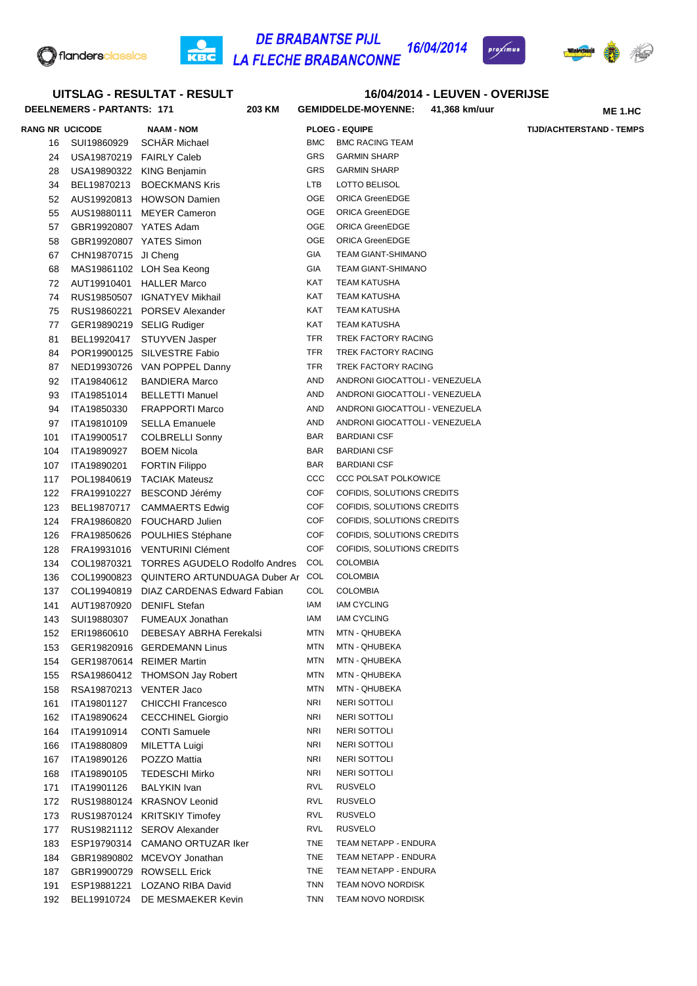

**UITSLAG - RESULTAT - RESULT**

#### **DE BRABANTSE PIJL** 16/04/2014 C KBC **LA FLECHE BRABANCONNE**



**ME 1.HC**

**16/04/2014 - LEUVEN - OVERIJSE**

## **DEELNEMERS - PARTANTS: 171 203 KM GEMIDDELDE-MOYENNE: 41,368 km/uur RANG NR UCICODE NAAM - NOM PLOEG - EQUIPE TIJD/ACHTERSTAND - TEMPS** 16 SUI19860929 SCHÄR Michael BMC BMC BMC RACING TEAM 24 USA19870219 FAIRLY Caleb GRS GARMIN SHARP 28 USA19890322 KING Benjamin GRS GARMIN SHARP 34 BEL19870213 BOECKMANS Kris LTB LOTTO BELISOL AUS19920813 HOWSON Damien OGE ORICA GreenEDGE AUS19880111 MEYER Cameron OGE ORICA GreenEDGE GBR19920807 YATES Adam OGE ORICA GreenEDGE GBR19920807 YATES Simon OGE ORICA GreenEDGE CHN19870715 JI Cheng GIA TEAM GIANT-SHIMANO 68 MAS19861102 LOH Sea Keong GIA TEAM GIANT-SHIMANO

| ຈ≀  | ODR19920007 TATES AUGHI |                                              | ◡◡∟        | UNIUA UITTILLUUL               |
|-----|-------------------------|----------------------------------------------|------------|--------------------------------|
| 58  | GBR19920807 YATES Simon |                                              | OGE        | <b>ORICA GreenEDGE</b>         |
| 67  | CHN19870715 JI Cheng    |                                              | GIA        | TEAM GIANT-SHIMANO             |
| 68  |                         | MAS19861102 LOH Sea Keong                    | <b>GIA</b> | TEAM GIANT-SHIMANO             |
| 72  |                         | AUT19910401 HALLER Marco                     | <b>KAT</b> | <b>TEAM KATUSHA</b>            |
| 74  |                         | RUS19850507 IGNATYEV Mikhail                 | KAT        | <b>TEAM KATUSHA</b>            |
| 75  |                         | RUS19860221 PORSEV Alexander                 | KAT        | <b>TEAM KATUSHA</b>            |
| 77  |                         | GER19890219 SELIG Rudiger                    | KAT        | <b>TEAM KATUSHA</b>            |
| 81  | BEL19920417             | STUYVEN Jasper                               | TFR        | TREK FACTORY RACING            |
| 84  |                         | POR19900125 SILVESTRE Fabio                  | TFR        | TREK FACTORY RACING            |
| 87  |                         | NED19930726 VAN POPPEL Danny                 | TFR        | <b>TREK FACTORY RACING</b>     |
| 92  | ITA19840612             | <b>BANDIERA Marco</b>                        | AND        | ANDRONI GIOCATTOLI - VENEZUELA |
| 93  | ITA19851014             | <b>BELLETTI Manuel</b>                       | AND        | ANDRONI GIOCATTOLI - VENEZUELA |
| 94  | ITA19850330             | <b>FRAPPORTI Marco</b>                       | AND        | ANDRONI GIOCATTOLI - VENEZUELA |
| 97  | ITA19810109             | <b>SELLA Emanuele</b>                        | AND        | ANDRONI GIOCATTOLI - VENEZUELA |
| 101 | ITA19900517             | <b>COLBRELLI Sonny</b>                       | BAR        | <b>BARDIANI CSF</b>            |
| 104 | ITA19890927             | <b>BOEM Nicola</b>                           | BAR        | <b>BARDIANI CSF</b>            |
| 107 | ITA19890201             | <b>FORTIN Filippo</b>                        | BAR        | <b>BARDIANI CSF</b>            |
| 117 |                         | POL19840619 TACIAK Mateusz                   | CCC        | <b>CCC POLSAT POLKOWICE</b>    |
| 122 | FRA19910227             | BESCOND Jérémy                               | <b>COF</b> | COFIDIS, SOLUTIONS CREDITS     |
| 123 | BEL19870717             | CAMMAERTS Edwig                              | <b>COF</b> | COFIDIS, SOLUTIONS CREDITS     |
| 124 |                         | FRA19860820 FOUCHARD Julien                  | COF        | COFIDIS, SOLUTIONS CREDITS     |
| 126 |                         | FRA19850626 POULHIES Stéphane                | COF        | COFIDIS, SOLUTIONS CREDITS     |
| 128 |                         | FRA19931016 VENTURINI Clément                | <b>COF</b> | COFIDIS, SOLUTIONS CREDITS     |
| 134 | COL19870321             | <b>TORRES AGUDELO Rodolfo Andres</b>         | <b>COL</b> | <b>COLOMBIA</b>                |
| 136 |                         | COL19900823 QUINTERO ARTUNDUAGA Duber Ar COL |            | <b>COLOMBIA</b>                |
| 137 |                         | COL19940819 DIAZ CARDENAS Edward Fabian      | COL        | <b>COLOMBIA</b>                |
| 141 |                         | AUT19870920 DENIFL Stefan                    | IAM        | <b>IAM CYCLING</b>             |
| 143 | SUI19880307             | FUMEAUX Jonathan                             | IAM        | <b>IAM CYCLING</b>             |
| 152 | ERI19860610             | DEBESAY ABRHA Ferekalsi                      | MTN        | MTN - QHUBEKA                  |
| 153 |                         | GER19820916 GERDEMANN Linus                  | MTN        | MTN - QHUBEKA                  |
| 154 |                         | GER19870614 REIMER Martin                    | MTN        | MTN - QHUBEKA                  |
| 155 |                         | RSA19860412 THOMSON Jay Robert               | MTN        | MTN - QHUBEKA                  |
| 158 | RSA19870213 VENTER Jaco |                                              | MTN        | MTN - QHUBEKA                  |
| 161 | ITA19801127             | <b>CHICCHI Francesco</b>                     | NRI        | <b>NERI SOTTOLI</b>            |
| 162 | ITA19890624             | <b>CECCHINEL Giorgio</b>                     | NRI        | NERI SOTTOLI                   |
| 164 | ITA19910914             | <b>CONTI Samuele</b>                         | NRI        | NERI SOTTOLI                   |
| 166 | ITA19880809             | <b>MILETTA Luigi</b>                         | <b>NRI</b> | <b>NERI SOTTOLI</b>            |
| 167 | ITA19890126             | POZZO Mattia                                 | NRI        | NERI SOTTOLI                   |
| 168 | ITA19890105             | <b>TEDESCHI Mirko</b>                        | NRI        | NERI SOTTOLI                   |
| 171 | ITA19901126             | <b>BALYKIN Ivan</b>                          | <b>RVL</b> | <b>RUSVELO</b>                 |
| 172 | RUS19880124             | <b>KRASNOV Leonid</b>                        | <b>RVL</b> | RUSVELO                        |
| 173 | RUS19870124             | <b>KRITSKIY Timofey</b>                      | <b>RVL</b> | RUSVELO                        |
| 177 | RUS19821112             | <b>SEROV Alexander</b>                       | <b>RVL</b> | <b>RUSVELO</b>                 |
| 183 | ESP19790314             | CAMANO ORTUZAR Iker                          | TNE        | TEAM NETAPP - ENDURA           |
| 184 |                         | GBR19890802 MCEVOY Jonathan                  | <b>TNE</b> | TEAM NETAPP - ENDURA           |
| 187 |                         | GBR19900729 ROWSELL Erick                    | <b>TNE</b> | TEAM NETAPP - ENDURA           |
| 191 | ESP19881221             | LOZANO RIBA David                            | <b>TNN</b> | TEAM NOVO NORDISK              |
| 192 | BEL19910724             | DE MESMAEKER Kevin                           | <b>TNN</b> | TEAM NOVO NORDISK              |
|     |                         |                                              |            |                                |